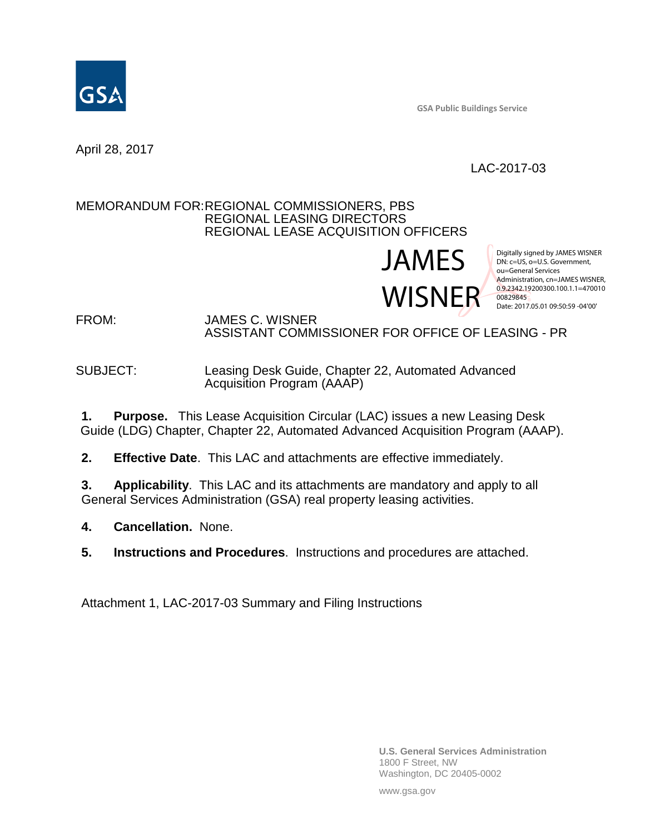

**GSA Public Buildings Service**

April 28, 2017

# LAC-2017-03

#### MEMORANDUM FOR:REGIONAL COMMISSIONERS, PBS REGIONAL LEASING DIRECTORS REGIONAL LEASE ACQUISITION OFFICERS

JAMES } WISNER 0.9.2342.19200300.100.1.1=470010

Digitally signed by JAMES WISNER DN: c=US, o=U.S. Government, ou=General Services Administration, cn=JAMES WISNER, 00829845 Date: 2017.05.01 09:50:59 -04'00'

FROM: JAMES C. WISNER ASSISTANT COMMISSIONER FOR OFFICE OF LEASING - PR

#### SUBJECT: Leasing Desk Guide, Chapter 22, Automated Advanced Acquisition Program (AAAP)

**1. Purpose.** This Lease Acquisition Circular (LAC) issues a new Leasing Desk Guide (LDG) Chapter, Chapter 22, Automated Advanced Acquisition Program (AAAP).

**2. Effective Date**. This LAC and attachments are effective immediately.

**3. Applicability**. This LAC and its attachments are mandatory and apply to all General Services Administration (GSA) real property leasing activities.

**4. Cancellation.** None.

**5. Instructions and Procedures**. Instructions and procedures are attached.

Attachment 1, LAC-2017-03 Summary and Filing Instructions

**U.S. General Services Administration** 1800 F Street, NW Washington, DC 20405-0002

www.gsa.gov